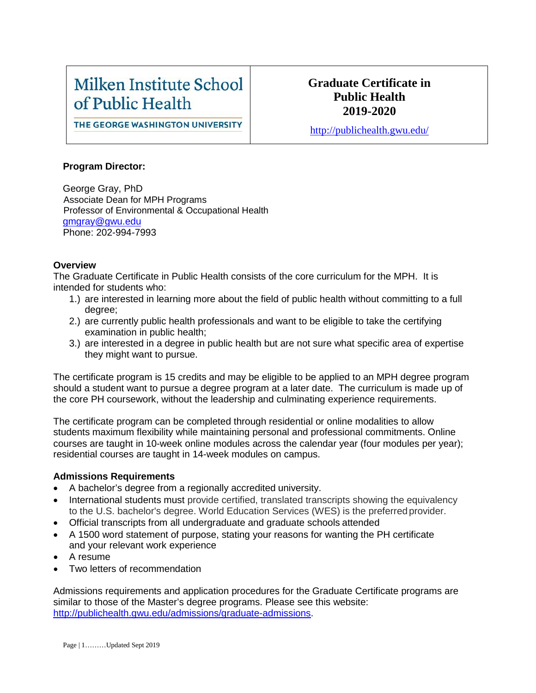# Milken Institute School of Public Health

### **Graduate Certificate in Public Health 2019-2020**

THE GEORGE WASHINGTON UNIVERSITY

<http://publichealth.gwu.edu/>

#### **Program Director:**

George Gray, PhD Associate Dean for MPH Programs Professor of Environmental & Occupational Health [gmgray@gwu.edu](mailto:gmgray@gwu.edu) Phone: 202-994-7993

#### **Overview**

The Graduate Certificate in Public Health consists of the core curriculum for the MPH. It is intended for students who:

- 1.) are interested in learning more about the field of public health without committing to a full degree;
- 2.) are currently public health professionals and want to be eligible to take the certifying examination in public health;
- 3.) are interested in a degree in public health but are not sure what specific area of expertise they might want to pursue.

The certificate program is 15 credits and may be eligible to be applied to an MPH degree program should a student want to pursue a degree program at a later date. The curriculum is made up of the core PH coursework, without the leadership and culminating experience requirements.

The certificate program can be completed through residential or online modalities to allow students maximum flexibility while maintaining personal and professional commitments. Online courses are taught in 10-week online modules across the calendar year (four modules per year); residential courses are taught in 14-week modules on campus.

#### **Admissions Requirements**

- A bachelor's degree from a regionally accredited university.
- International students must provide certified, translated transcripts showing the equivalency to the U.S. bachelor's degree. World Education Services (WES) is the preferredprovider.
- Official transcripts from all undergraduate and graduate schools attended
- A 1500 word statement of purpose, stating your reasons for wanting the PH certificate and your relevant work experience
- A resume
- Two letters of recommendation

Admissions requirements and application procedures for the Graduate Certificate programs are similar to those of the Master's degree programs. Please see this website: [http://publichealth.gwu.edu/admissions/graduate-admissions.](http://publichealth.gwu.edu/admissions/graduate-admissions)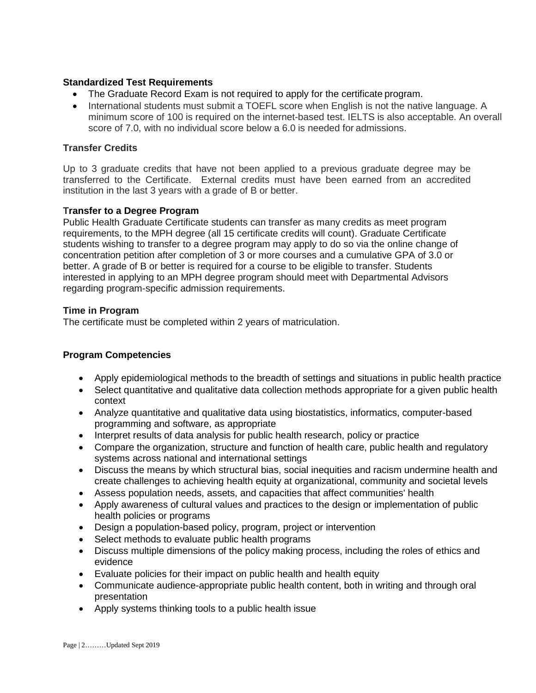#### **Standardized Test Requirements**

- The Graduate Record Exam is not required to apply for the certificate program.
- International students must submit a TOEFL score when English is not the native language. A minimum score of 100 is required on the internet-based test. IELTS is also acceptable. An overall score of 7.0, with no individual score below a 6.0 is needed for admissions.

#### **Transfer Credits**

Up to 3 graduate credits that have not been applied to a previous graduate degree may be transferred to the Certificate. External credits must have been earned from an accredited institution in the last 3 years with a grade of B or better.

#### **Transfer to a Degree Program**

Public Health Graduate Certificate students can transfer as many credits as meet program requirements, to the MPH degree (all 15 certificate credits will count). Graduate Certificate students wishing to transfer to a degree program may apply to do so via the online change of concentration petition after completion of 3 or more courses and a cumulative GPA of 3.0 or better. A grade of B or better is required for a course to be eligible to transfer. Students interested in applying to an MPH degree program should meet with Departmental Advisors regarding program-specific admission requirements.

#### **Time in Program**

The certificate must be completed within 2 years of matriculation.

#### **Program Competencies**

- Apply epidemiological methods to the breadth of settings and situations in public health practice
- Select quantitative and qualitative data collection methods appropriate for a given public health context
- Analyze quantitative and qualitative data using biostatistics, informatics, computer-based programming and software, as appropriate
- Interpret results of data analysis for public health research, policy or practice
- Compare the organization, structure and function of health care, public health and regulatory systems across national and international settings
- Discuss the means by which structural bias, social inequities and racism undermine health and create challenges to achieving health equity at organizational, community and societal levels
- Assess population needs, assets, and capacities that affect communities' health
- Apply awareness of cultural values and practices to the design or implementation of public health policies or programs
- Design a population-based policy, program, project or intervention
- Select methods to evaluate public health programs
- Discuss multiple dimensions of the policy making process, including the roles of ethics and evidence
- Evaluate policies for their impact on public health and health equity
- Communicate audience-appropriate public health content, both in writing and through oral presentation
- Apply systems thinking tools to a public health issue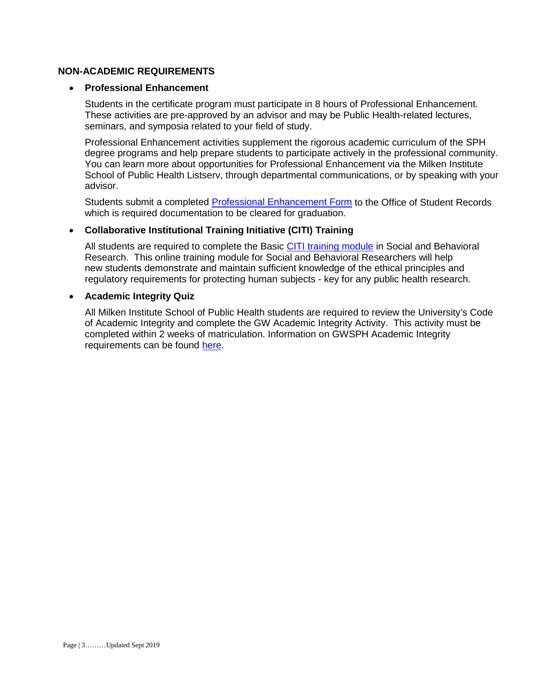#### **NON-ACADEMIC REQUIREMENTS**

#### • **Professional Enhancement**

Students in the certificate program must participate in 8 hours of Professional Enhancement. These activities are pre-approved by an advisor and may be Public Health-related lectures, seminars, and symposia related to your field of study.

Professional Enhancement activities supplement the rigorous academic curriculum of the SPH degree programs and help prepare students to participate actively in the professional community. You can learn more about opportunities for Professional Enhancement via the Milken Institute School of Public Health Listserv, through departmental communications, or by speaking with your advisor.

Students submit a completed **[Professional Enhancement Form](http://publichealth.gwu.edu/academics/forms)** to the Office of Student Records which is required documentation to be cleared for graduation.

#### • **Collaborative Institutional Training Initiative (CITI) Training**

All students are required to complete the Basic [CITI training module](http://www.citiprogram.org/) in Social and Behavioral Research. This online training module for Social and Behavioral Researchers will help new students demonstrate and maintain sufficient knowledge of the ethical principles and regulatory requirements for protecting human subjects - key for any public health research.

#### • **Academic Integrity Quiz**

All Milken Institute School of Public Health students are required to review the University's Code of Academic Integrity and complete the GW Academic Integrity Activity. This activity must be completed within 2 weeks of matriculation. Information on GWSPH Academic Integrity requirements can be found [here.](http://publichealth.gwu.edu/integrity)